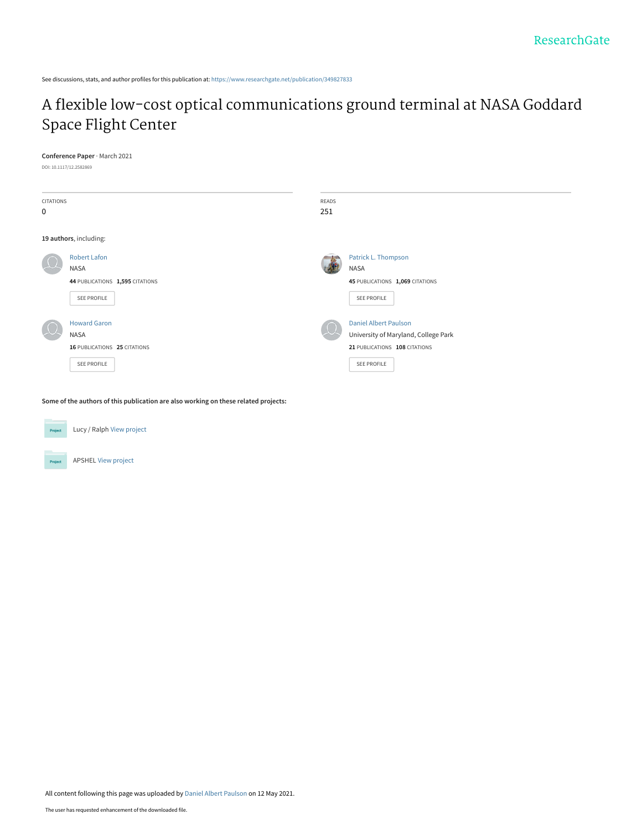See discussions, stats, and author profiles for this publication at: [https://www.researchgate.net/publication/349827833](https://www.researchgate.net/publication/349827833_A_flexible_low-cost_optical_communications_ground_terminal_at_NASA_Goddard_Space_Flight_Center?enrichId=rgreq-e8ee35bdcbc7c0837f4835e537e96a37-XXX&enrichSource=Y292ZXJQYWdlOzM0OTgyNzgzMztBUzoxMDIyNDQ0MjY1NTQ5ODI0QDE2MjA3ODExMTcyNzM%3D&el=1_x_2&_esc=publicationCoverPdf)

# [A flexible low-cost optical communications ground terminal at NASA Goddard](https://www.researchgate.net/publication/349827833_A_flexible_low-cost_optical_communications_ground_terminal_at_NASA_Goddard_Space_Flight_Center?enrichId=rgreq-e8ee35bdcbc7c0837f4835e537e96a37-XXX&enrichSource=Y292ZXJQYWdlOzM0OTgyNzgzMztBUzoxMDIyNDQ0MjY1NTQ5ODI0QDE2MjA3ODExMTcyNzM%3D&el=1_x_3&_esc=publicationCoverPdf) Space Flight Center

#### **Conference Paper** · March 2021

DOI: 10.1117/12.2582869

| CITATIONS<br>0                                  |                                                                                      | READS<br>251             |                                                                                                                      |
|-------------------------------------------------|--------------------------------------------------------------------------------------|--------------------------|----------------------------------------------------------------------------------------------------------------------|
| 19 authors, including:                          |                                                                                      |                          |                                                                                                                      |
| $\mu$                                           | <b>Robert Lafon</b><br><b>NASA</b><br>44 PUBLICATIONS 1,595 CITATIONS<br>SEE PROFILE |                          | Patrick L. Thompson<br>NASA<br>45 PUBLICATIONS 1,069 CITATIONS<br>SEE PROFILE                                        |
| $\left( \begin{array}{c} 1 \end{array} \right)$ | <b>Howard Garon</b><br><b>NASA</b><br>16 PUBLICATIONS 25 CITATIONS<br>SEE PROFILE    | $\overline{\phantom{a}}$ | <b>Daniel Albert Paulson</b><br>University of Maryland, College Park<br>21 PUBLICATIONS 108 CITATIONS<br>SEE PROFILE |

**Some of the authors of this publication are also working on these related projects:**



Lucy / Ralph [View project](https://www.researchgate.net/project/Lucy-Ralph?enrichId=rgreq-e8ee35bdcbc7c0837f4835e537e96a37-XXX&enrichSource=Y292ZXJQYWdlOzM0OTgyNzgzMztBUzoxMDIyNDQ0MjY1NTQ5ODI0QDE2MjA3ODExMTcyNzM%3D&el=1_x_9&_esc=publicationCoverPdf)



APSHEL [View project](https://www.researchgate.net/project/APSHEL?enrichId=rgreq-e8ee35bdcbc7c0837f4835e537e96a37-XXX&enrichSource=Y292ZXJQYWdlOzM0OTgyNzgzMztBUzoxMDIyNDQ0MjY1NTQ5ODI0QDE2MjA3ODExMTcyNzM%3D&el=1_x_9&_esc=publicationCoverPdf)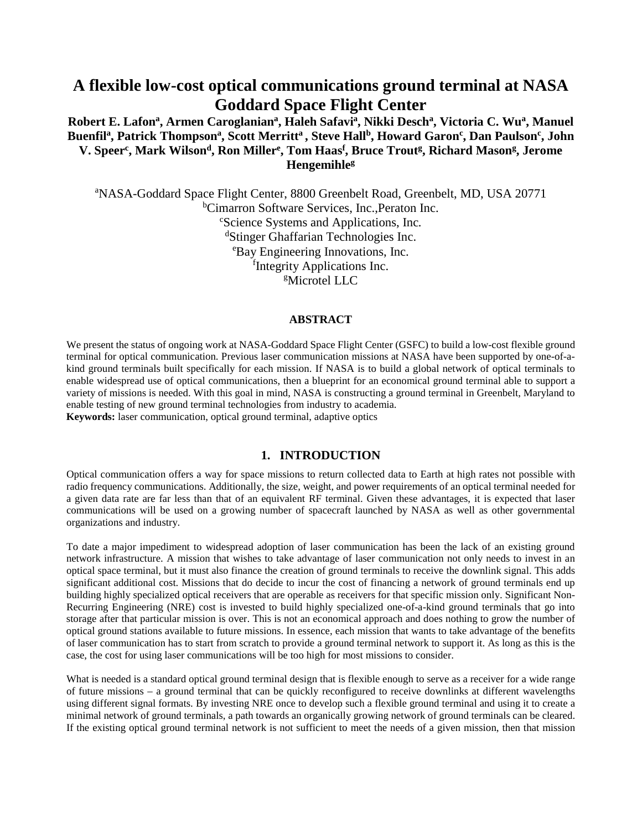# **A flexible low-cost optical communications ground terminal at NASA Goddard Space Flight Center**

# Robert E. Lafon<sup>a</sup>, Armen Caroglanian<sup>a</sup>, Haleh Safavi<sup>a</sup>, Nikki Desch<sup>a</sup>, Victoria C. Wu<sup>a</sup>, Manuel Buenfil<sup>a</sup>, Patrick Thompson<sup>a</sup>, Scott Merritt<sup>a</sup> , Steve Hall<sup>b</sup>, Howard Garon<sup>c</sup>, Dan Paulson<sup>c</sup>, John V. Speer<sup>c</sup>, Mark Wilson<sup>d</sup>, Ron Miller<sup>e</sup>, Tom Haas<sup>f</sup>, Bruce Trout<sup>g</sup>, Richard Mason<sup>g</sup>, Jerome **Hengemihleg**

<sup>a</sup>NASA-Goddard Space Flight Center, 8800 Greenbelt Road, Greenbelt, MD, USA 20771 <sup>b</sup>Cimarron Software Services, Inc., Peraton Inc.<br><sup>c</sup>Science Systems and Applications Inc. Science Systems and Applications, Inc*.* d Stinger Ghaffarian Technologies Inc. e Bay Engineering Innovations, Inc. f Integrity Applications Inc. g Microtel LLC

#### **ABSTRACT**

We present the status of ongoing work at NASA-Goddard Space Flight Center (GSFC) to build a low-cost flexible ground terminal for optical communication. Previous laser communication missions at NASA have been supported by one-of-akind ground terminals built specifically for each mission. If NASA is to build a global network of optical terminals to enable widespread use of optical communications, then a blueprint for an economical ground terminal able to support a variety of missions is needed. With this goal in mind, NASA is constructing a ground terminal in Greenbelt, Maryland to enable testing of new ground terminal technologies from industry to academia. **Keywords:** laser communication, optical ground terminal, adaptive optics

### **1. INTRODUCTION**

Optical communication offers a way for space missions to return collected data to Earth at high rates not possible with radio frequency communications. Additionally, the size, weight, and power requirements of an optical terminal needed for a given data rate are far less than that of an equivalent RF terminal. Given these advantages, it is expected that laser communications will be used on a growing number of spacecraft launched by NASA as well as other governmental organizations and industry.

To date a major impediment to widespread adoption of laser communication has been the lack of an existing ground network infrastructure. A mission that wishes to take advantage of laser communication not only needs to invest in an optical space terminal, but it must also finance the creation of ground terminals to receive the downlink signal. This adds significant additional cost. Missions that do decide to incur the cost of financing a network of ground terminals end up building highly specialized optical receivers that are operable as receivers for that specific mission only. Significant Non-Recurring Engineering (NRE) cost is invested to build highly specialized one-of-a-kind ground terminals that go into storage after that particular mission is over. This is not an economical approach and does nothing to grow the number of optical ground stations available to future missions. In essence, each mission that wants to take advantage of the benefits of laser communication has to start from scratch to provide a ground terminal network to support it. As long as this is the case, the cost for using laser communications will be too high for most missions to consider.

What is needed is a standard optical ground terminal design that is flexible enough to serve as a receiver for a wide range of future missions – a ground terminal that can be quickly reconfigured to receive downlinks at different wavelengths using different signal formats. By investing NRE once to develop such a flexible ground terminal and using it to create a minimal network of ground terminals, a path towards an organically growing network of ground terminals can be cleared. If the existing optical ground terminal network is not sufficient to meet the needs of a given mission, then that mission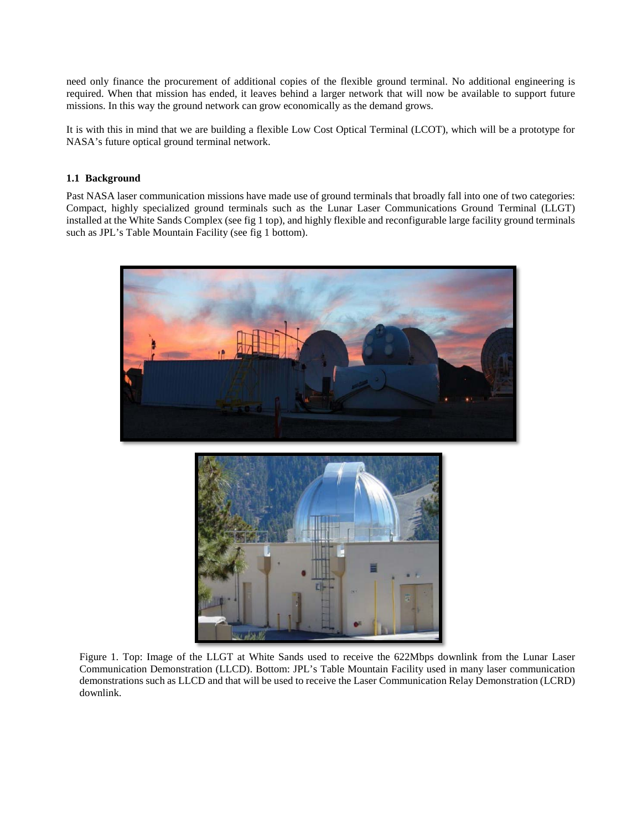need only finance the procurement of additional copies of the flexible ground terminal. No additional engineering is required. When that mission has ended, it leaves behind a larger network that will now be available to support future missions. In this way the ground network can grow economically as the demand grows.

It is with this in mind that we are building a flexible Low Cost Optical Terminal (LCOT), which will be a prototype for NASA's future optical ground terminal network.

### **1.1 Background**

Past NASA laser communication missions have made use of ground terminals that broadly fall into one of two categories: Compact, highly specialized ground terminals such as the Lunar Laser Communications Ground Terminal (LLGT) installed at the White Sands Complex (see fig 1 top), and highly flexible and reconfigurable large facility ground terminals such as JPL's Table Mountain Facility (see fig 1 bottom).





Figure 1. Top: Image of the LLGT at White Sands used to receive the 622Mbps downlink from the Lunar Laser Communication Demonstration (LLCD). Bottom: JPL's Table Mountain Facility used in many laser communication demonstrations such as LLCD and that will be used to receive the Laser Communication Relay Demonstration (LCRD) downlink.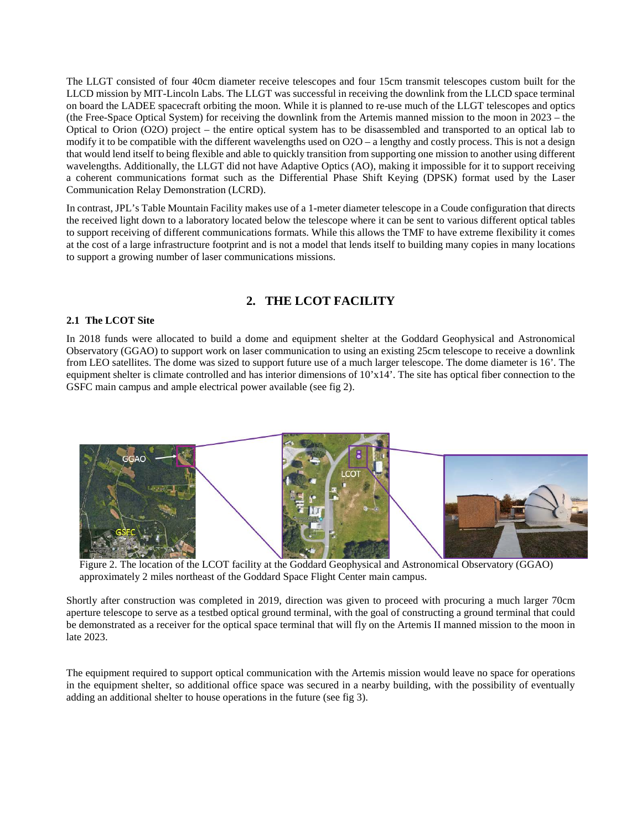The LLGT consisted of four 40cm diameter receive telescopes and four 15cm transmit telescopes custom built for the LLCD mission by MIT-Lincoln Labs. The LLGT was successful in receiving the downlink from the LLCD space terminal on board the LADEE spacecraft orbiting the moon. While it is planned to re-use much of the LLGT telescopes and optics (the Free-Space Optical System) for receiving the downlink from the Artemis manned mission to the moon in 2023 – the Optical to Orion (O2O) project – the entire optical system has to be disassembled and transported to an optical lab to modify it to be compatible with the different wavelengths used on O2O – a lengthy and costly process. This is not a design that would lend itself to being flexible and able to quickly transition from supporting one mission to another using different wavelengths. Additionally, the LLGT did not have Adaptive Optics (AO), making it impossible for it to support receiving a coherent communications format such as the Differential Phase Shift Keying (DPSK) format used by the Laser Communication Relay Demonstration (LCRD).

In contrast, JPL's Table Mountain Facility makes use of a 1-meter diameter telescope in a Coude configuration that directs the received light down to a laboratory located below the telescope where it can be sent to various different optical tables to support receiving of different communications formats. While this allows the TMF to have extreme flexibility it comes at the cost of a large infrastructure footprint and is not a model that lends itself to building many copies in many locations to support a growing number of laser communications missions.

## **2. THE LCOT FACILITY**

#### **2.1 The LCOT Site**

In 2018 funds were allocated to build a dome and equipment shelter at the Goddard Geophysical and Astronomical Observatory (GGAO) to support work on laser communication to using an existing 25cm telescope to receive a downlink from LEO satellites. The dome was sized to support future use of a much larger telescope. The dome diameter is 16'. The equipment shelter is climate controlled and has interior dimensions of 10'x14'. The site has optical fiber connection to the GSFC main campus and ample electrical power available (see fig 2).



Figure 2. The location of the LCOT facility at the Goddard Geophysical and Astronomical Observatory (GGAO) approximately 2 miles northeast of the Goddard Space Flight Center main campus.

Shortly after construction was completed in 2019, direction was given to proceed with procuring a much larger 70cm aperture telescope to serve as a testbed optical ground terminal, with the goal of constructing a ground terminal that could be demonstrated as a receiver for the optical space terminal that will fly on the Artemis II manned mission to the moon in late 2023.

The equipment required to support optical communication with the Artemis mission would leave no space for operations in the equipment shelter, so additional office space was secured in a nearby building, with the possibility of eventually adding an additional shelter to house operations in the future (see fig 3).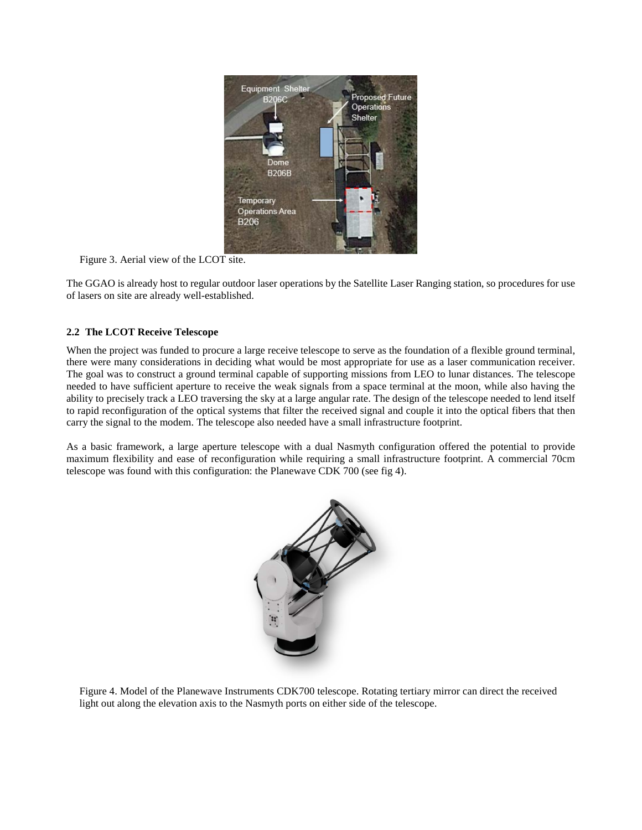

Figure 3. Aerial view of the LCOT site.

The GGAO is already host to regular outdoor laser operations by the Satellite Laser Ranging station, so procedures for use of lasers on site are already well-established.

## **2.2 The LCOT Receive Telescope**

When the project was funded to procure a large receive telescope to serve as the foundation of a flexible ground terminal, there were many considerations in deciding what would be most appropriate for use as a laser communication receiver. The goal was to construct a ground terminal capable of supporting missions from LEO to lunar distances. The telescope needed to have sufficient aperture to receive the weak signals from a space terminal at the moon, while also having the ability to precisely track a LEO traversing the sky at a large angular rate. The design of the telescope needed to lend itself to rapid reconfiguration of the optical systems that filter the received signal and couple it into the optical fibers that then carry the signal to the modem. The telescope also needed have a small infrastructure footprint.

As a basic framework, a large aperture telescope with a dual Nasmyth configuration offered the potential to provide maximum flexibility and ease of reconfiguration while requiring a small infrastructure footprint. A commercial 70cm telescope was found with this configuration: the Planewave CDK 700 (see fig 4).



Figure 4. Model of the Planewave Instruments CDK700 telescope. Rotating tertiary mirror can direct the received light out along the elevation axis to the Nasmyth ports on either side of the telescope.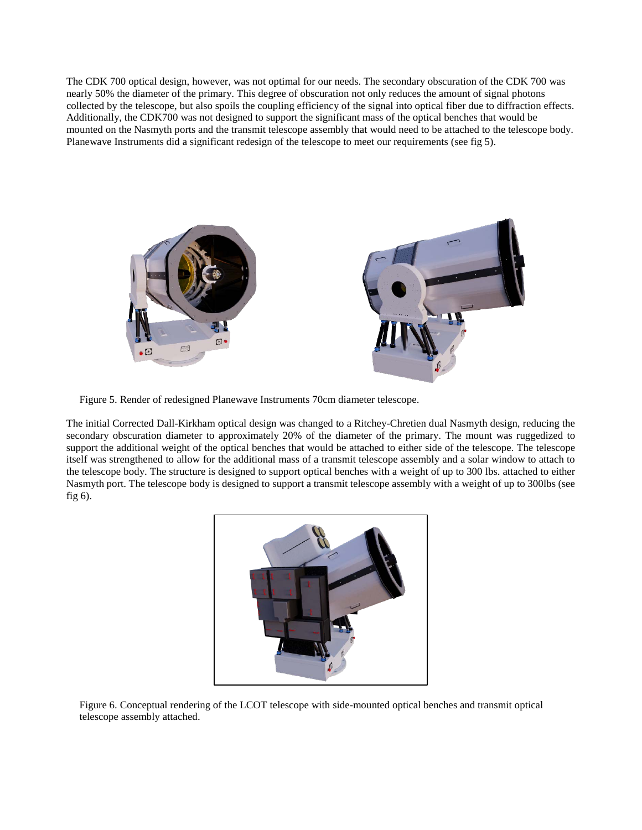The CDK 700 optical design, however, was not optimal for our needs. The secondary obscuration of the CDK 700 was nearly 50% the diameter of the primary. This degree of obscuration not only reduces the amount of signal photons collected by the telescope, but also spoils the coupling efficiency of the signal into optical fiber due to diffraction effects. Additionally, the CDK700 was not designed to support the significant mass of the optical benches that would be mounted on the Nasmyth ports and the transmit telescope assembly that would need to be attached to the telescope body. Planewave Instruments did a significant redesign of the telescope to meet our requirements (see fig 5).



Figure 5. Render of redesigned Planewave Instruments 70cm diameter telescope.

The initial Corrected Dall-Kirkham optical design was changed to a Ritchey-Chretien dual Nasmyth design, reducing the secondary obscuration diameter to approximately 20% of the diameter of the primary. The mount was ruggedized to support the additional weight of the optical benches that would be attached to either side of the telescope. The telescope itself was strengthened to allow for the additional mass of a transmit telescope assembly and a solar window to attach to the telescope body. The structure is designed to support optical benches with a weight of up to 300 lbs. attached to either Nasmyth port. The telescope body is designed to support a transmit telescope assembly with a weight of up to 300lbs (see fig 6).



Figure 6. Conceptual rendering of the LCOT telescope with side-mounted optical benches and transmit optical telescope assembly attached.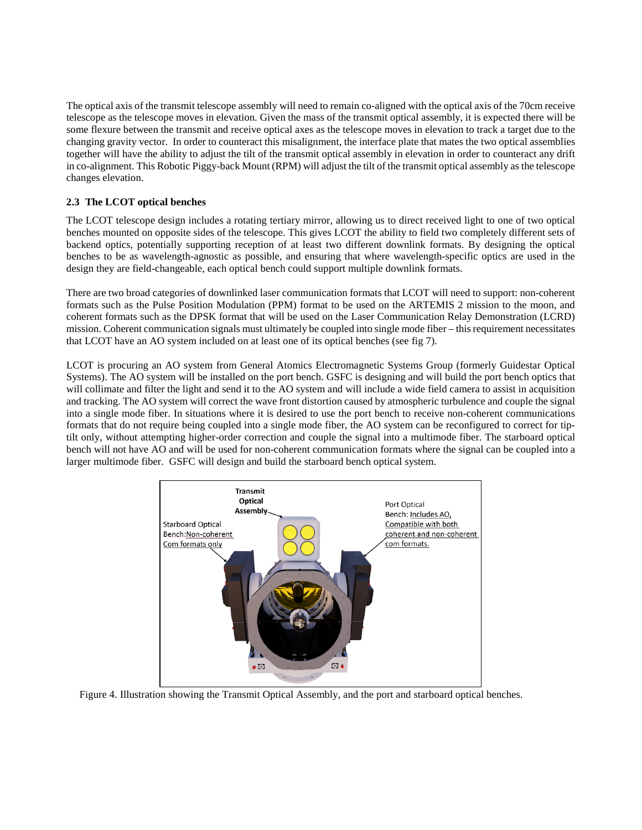The optical axis of the transmit telescope assembly will need to remain co-aligned with the optical axis of the 70cm receive telescope as the telescope moves in elevation. Given the mass of the transmit optical assembly, it is expected there will be some flexure between the transmit and receive optical axes as the telescope moves in elevation to track a target due to the changing gravity vector. In order to counteract this misalignment, the interface plate that mates the two optical assemblies together will have the ability to adjust the tilt of the transmit optical assembly in elevation in order to counteract any drift in co-alignment. This Robotic Piggy-back Mount (RPM) will adjust the tilt of the transmit optical assembly as the telescope changes elevation.

## **2.3 The LCOT optical benches**

The LCOT telescope design includes a rotating tertiary mirror, allowing us to direct received light to one of two optical benches mounted on opposite sides of the telescope. This gives LCOT the ability to field two completely different sets of backend optics, potentially supporting reception of at least two different downlink formats. By designing the optical benches to be as wavelength-agnostic as possible, and ensuring that where wavelength-specific optics are used in the design they are field-changeable, each optical bench could support multiple downlink formats.

There are two broad categories of downlinked laser communication formats that LCOT will need to support: non-coherent formats such as the Pulse Position Modulation (PPM) format to be used on the ARTEMIS 2 mission to the moon, and coherent formats such as the DPSK format that will be used on the Laser Communication Relay Demonstration (LCRD) mission. Coherent communication signals must ultimately be coupled into single mode fiber – this requirement necessitates that LCOT have an AO system included on at least one of its optical benches (see fig 7).

LCOT is procuring an AO system from General Atomics Electromagnetic Systems Group (formerly Guidestar Optical Systems). The AO system will be installed on the port bench. GSFC is designing and will build the port bench optics that will collimate and filter the light and send it to the AO system and will include a wide field camera to assist in acquisition and tracking. The AO system will correct the wave front distortion caused by atmospheric turbulence and couple the signal into a single mode fiber. In situations where it is desired to use the port bench to receive non-coherent communications formats that do not require being coupled into a single mode fiber, the AO system can be reconfigured to correct for tiptilt only, without attempting higher-order correction and couple the signal into a multimode fiber. The starboard optical bench will not have AO and will be used for non-coherent communication formats where the signal can be coupled into a larger multimode fiber. GSFC will design and build the starboard bench optical system.



Figure 4. Illustration showing the Transmit Optical Assembly, and the port and starboard optical benches.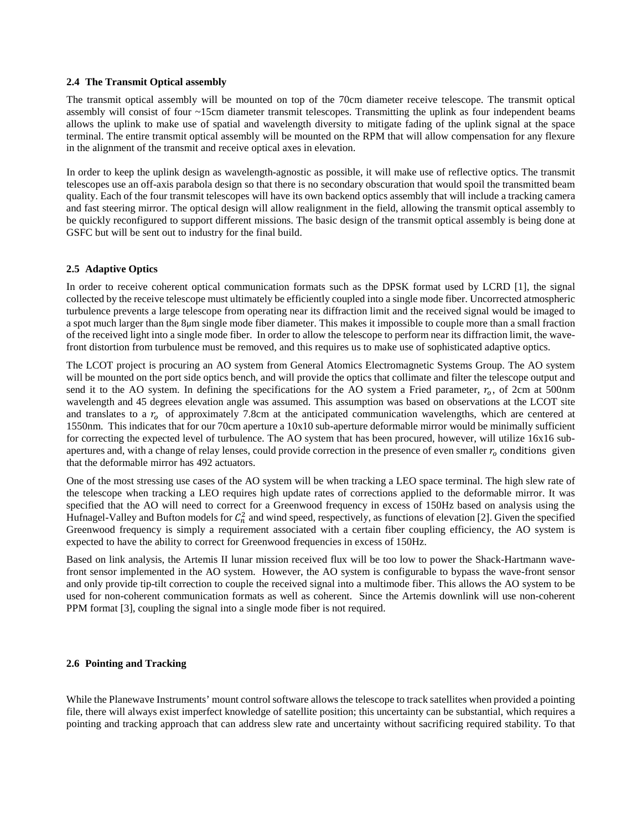#### **2.4 The Transmit Optical assembly**

The transmit optical assembly will be mounted on top of the 70cm diameter receive telescope. The transmit optical assembly will consist of four ~15cm diameter transmit telescopes. Transmitting the uplink as four independent beams allows the uplink to make use of spatial and wavelength diversity to mitigate fading of the uplink signal at the space terminal. The entire transmit optical assembly will be mounted on the RPM that will allow compensation for any flexure in the alignment of the transmit and receive optical axes in elevation.

In order to keep the uplink design as wavelength-agnostic as possible, it will make use of reflective optics. The transmit telescopes use an off-axis parabola design so that there is no secondary obscuration that would spoil the transmitted beam quality. Each of the four transmit telescopes will have its own backend optics assembly that will include a tracking camera and fast steering mirror. The optical design will allow realignment in the field, allowing the transmit optical assembly to be quickly reconfigured to support different missions. The basic design of the transmit optical assembly is being done at GSFC but will be sent out to industry for the final build.

#### **2.5 Adaptive Optics**

In order to receive coherent optical communication formats such as the DPSK format used by LCRD [1], the signal collected by the receive telescope must ultimately be efficiently coupled into a single mode fiber. Uncorrected atmospheric turbulence prevents a large telescope from operating near its diffraction limit and the received signal would be imaged to a spot much larger than the 8μm single mode fiber diameter. This makes it impossible to couple more than a small fraction of the received light into a single mode fiber. In order to allow the telescope to perform near its diffraction limit, the wavefront distortion from turbulence must be removed, and this requires us to make use of sophisticated adaptive optics.

The LCOT project is procuring an AO system from General Atomics Electromagnetic Systems Group. The AO system will be mounted on the port side optics bench, and will provide the optics that collimate and filter the telescope output and send it to the AO system. In defining the specifications for the AO system a Fried parameter,  $r_0$ , of 2cm at 500nm wavelength and 45 degrees elevation angle was assumed. This assumption was based on observations at the LCOT site and translates to a  $r_0$  of approximately 7.8cm at the anticipated communication wavelengths, which are centered at 1550nm. This indicates that for our 70cm aperture a 10x10 sub-aperture deformable mirror would be minimally sufficient for correcting the expected level of turbulence. The AO system that has been procured, however, will utilize 16x16 subapertures and, with a change of relay lenses, could provide correction in the presence of even smaller  $r_0$  conditions given that the deformable mirror has 492 actuators.

One of the most stressing use cases of the AO system will be when tracking a LEO space terminal. The high slew rate of the telescope when tracking a LEO requires high update rates of corrections applied to the deformable mirror. It was specified that the AO will need to correct for a Greenwood frequency in excess of 150Hz based on analysis using the Hufnagel-Valley and Bufton models for  $C_n^2$  and wind speed, respectively, as functions of elevation [2]. Given the specified Greenwood frequency is simply a requirement associated with a certain fiber coupling efficiency, the AO system is expected to have the ability to correct for Greenwood frequencies in excess of 150Hz.

Based on link analysis, the Artemis II lunar mission received flux will be too low to power the Shack-Hartmann wavefront sensor implemented in the AO system. However, the AO system is configurable to bypass the wave-front sensor and only provide tip-tilt correction to couple the received signal into a multimode fiber. This allows the AO system to be used for non-coherent communication formats as well as coherent. Since the Artemis downlink will use non-coherent PPM format [3], coupling the signal into a single mode fiber is not required.

#### **2.6 Pointing and Tracking**

While the Planewave Instruments' mount control software allows the telescope to track satellites when provided a pointing file, there will always exist imperfect knowledge of satellite position; this uncertainty can be substantial, which requires a pointing and tracking approach that can address slew rate and uncertainty without sacrificing required stability. To that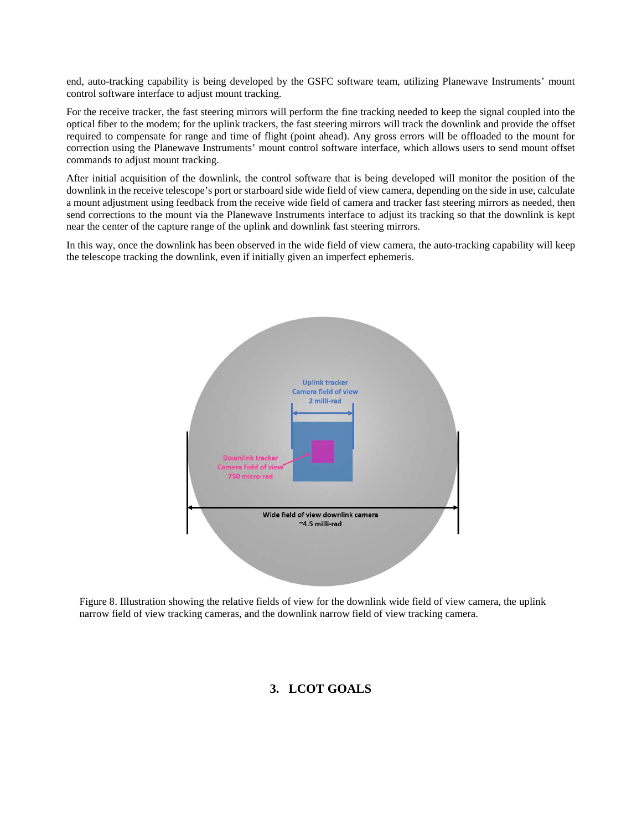end, auto-tracking capability is being developed by the GSFC software team, utilizing Planewave Instruments' mount control software interface to adjust mount tracking.

For the receive tracker, the fast steering mirrors will perform the fine tracking needed to keep the signal coupled into the optical fiber to the modem; for the uplink trackers, the fast steering mirrors will track the downlink and provide the offset required to compensate for range and time of flight (point ahead). Any gross errors will be offloaded to the mount for correction using the Planewave Instruments' mount control software interface, which allows users to send mount offset commands to adjust mount tracking.

After initial acquisition of the downlink, the control software that is being developed will monitor the position of the downlink in the receive telescope's port or starboard side wide field of view camera, depending on the side in use, calculate a mount adjustment using feedback from the receive wide field of camera and tracker fast steering mirrors as needed, then send corrections to the mount via the Planewave Instruments interface to adjust its tracking so that the downlink is kept near the center of the capture range of the uplink and downlink fast steering mirrors.

In this way, once the downlink has been observed in the wide field of view camera, the auto-tracking capability will keep the telescope tracking the downlink, even if initially given an imperfect ephemeris.



Figure 8. Illustration showing the relative fields of view for the downlink wide field of view camera, the uplink narrow field of view tracking cameras, and the downlink narrow field of view tracking camera.

# **3. LCOT GOALS**